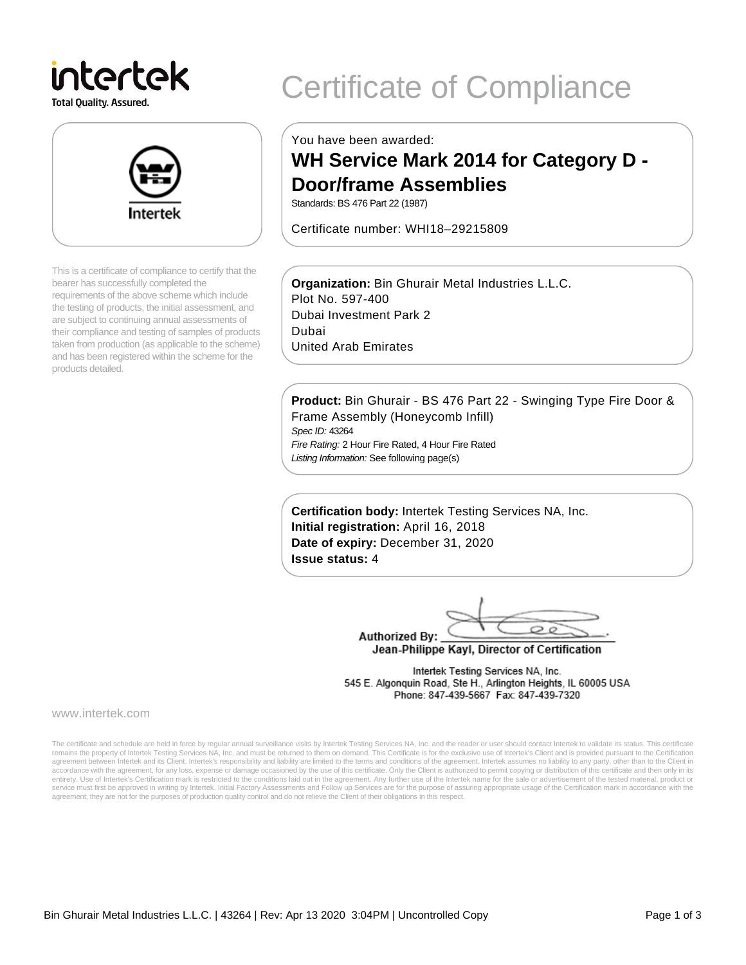# intertek

**Total Quality. Assured.** 



This is a certificate of compliance to certify that the bearer has successfully completed the requirements of the above scheme which include the testing of products, the initial assessment, and are subject to continuing annual assessments of their compliance and testing of samples of products taken from production (as applicable to the scheme) and has been registered within the scheme for the products detailed.

## Certificate of Compliance

You have been awarded:

### **WH Service Mark 2014 for Category D - Door/frame Assemblies**

Standards: BS 476 Part 22 (1987)

Certificate number: WHI18–29215809

**Organization:** Bin Ghurair Metal Industries L.L.C. Plot No. 597-400 Dubai Investment Park 2 Dubai United Arab Emirates

**Product:** Bin Ghurair - BS 476 Part 22 - Swinging Type Fire Door & Frame Assembly (Honeycomb Infill) Spec ID: 43264 Fire Rating: 2 Hour Fire Rated, 4 Hour Fire Rated Listing Information: See following page(s)

**Certification body:** Intertek Testing Services NA, Inc. **Initial registration:** April 16, 2018 **Date of expiry:** December 31, 2020 **Issue status:** 4

 $\circ$ **Authorized By:** 

Jean-Philippe Kayl, Director of Certification

Intertek Testing Services NA, Inc. 545 E. Algonquin Road, Ste H., Arlington Heights, IL 60005 USA Phone: 847-439-5667 Fax: 847-439-7320

www.intertek.com

The certificate and schedule are held in force by regular annual surveillance visits by Intertek Testing Services NA, Inc. and the reader or user should contact Intertek to validate its status. This certificate remains the property of Intertek Testing Services NA, Inc. and must be returned to them on demand. This Certificate is for the exclusive use of Intertek's Client and is provided pursuant to the Certification agreement between Intertek and its Client. Intertek's responsibility and liability are limited to the terms and conditions of the agreement. Intertek assumes no liability to any party, other than to the Client in accordance with the agreement, for any loss, expense or damage occasioned by the use of this certificate. Only the Client is authorized to permit copying or distribution of this certificate and then only in its<br>entirety. U service must first be approved in writing by Intertek. Initial Factory Assessments and Follow up Services are for the purpose of assuring appropriate usage of the Certification mark in accordance with the agreement, they are not for the purposes of production quality control and do not relieve the Client of their obligations in this respect.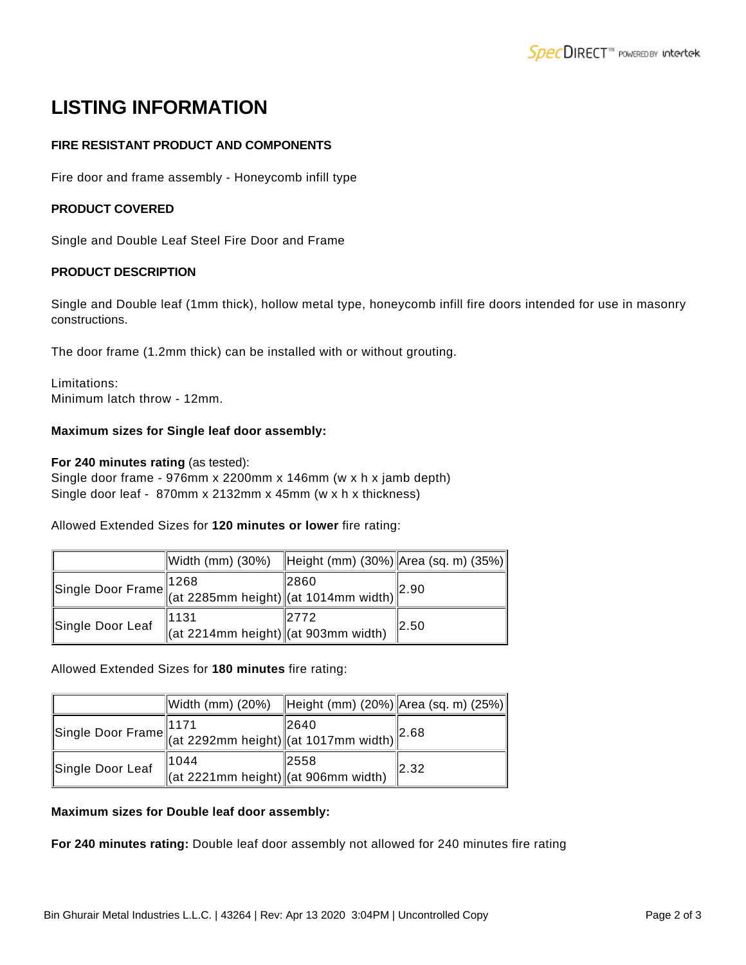## **LISTING INFORMATION**

#### **FIRE RESISTANT PRODUCT AND COMPONENTS**

Fire door and frame assembly - Honeycomb infill type

#### **PRODUCT COVERED**

Single and Double Leaf Steel Fire Door and Frame

#### **PRODUCT DESCRIPTION**

Single and Double leaf (1mm thick), hollow metal type, honeycomb infill fire doors intended for use in masonry constructions.

The door frame (1.2mm thick) can be installed with or without grouting.

Limitations: Minimum latch throw - 12mm.

#### **Maximum sizes for Single leaf door assembly:**

#### **For 240 minutes rating** (as tested):

Single door frame - 976mm x 2200mm x 146mm (w x h x jamb depth) Single door leaf - 870mm x 2132mm x 45mm (w x h x thickness)

Allowed Extended Sizes for **120 minutes or lower** fire rating:

|                  | Width (mm) $(30\%)$                                                                                               | Height (mm) (30%) Area (sq. m) (35%) |       |
|------------------|-------------------------------------------------------------------------------------------------------------------|--------------------------------------|-------|
|                  | Single Door Frame 1268<br>(at 2285mm height) $\left\vert \frac{2600}{\text{(at 1014mm width)}} \right\vert^{2.5}$ |                                      | 2.90  |
| Single Door Leaf | 1131<br>$\ $ (at 2214mm height) $\ $ (at 903mm width)                                                             | 12772                                | I2.50 |

#### Allowed Extended Sizes for **180 minutes** fire rating:

|                  | Width (mm) $(20%)$                                                                                                                                                                          | Height (mm) (20%) Area (sq. m) (25%) |              |
|------------------|---------------------------------------------------------------------------------------------------------------------------------------------------------------------------------------------|--------------------------------------|--------------|
|                  | Single Door Frame $\left\  \begin{array}{l} 1171 \\ (at 2292mm \text{ height}) \end{array} \right\  \left\  \begin{array}{l} 2640 \\ (at 1017mm \text{ width}) \end{array} \right\ ^{2.68}$ |                                      |              |
| Single Door Leaf | 1044<br>$\left\  \begin{array}{cc} 0 & 0 \\ \text{(at 2221mm height)} \end{array} \right\ $ (at 906mm width)                                                                                | 2558                                 | $\vert$ 2.32 |

#### **Maximum sizes for Double leaf door assembly:**

**For 240 minutes rating:** Double leaf door assembly not allowed for 240 minutes fire rating